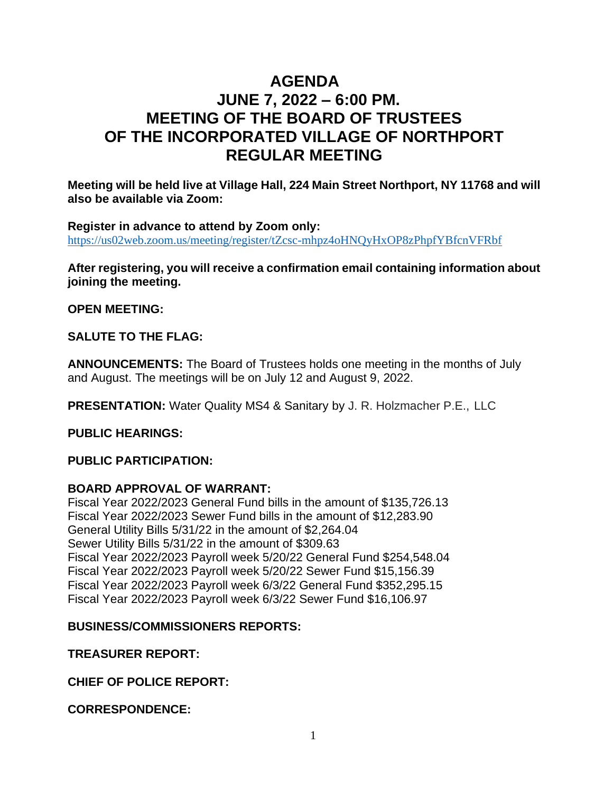# **AGENDA JUNE 7, 2022 – 6:00 PM. MEETING OF THE BOARD OF TRUSTEES OF THE INCORPORATED VILLAGE OF NORTHPORT REGULAR MEETING**

**Meeting will be held live at Village Hall, 224 Main Street Northport, NY 11768 and will also be available via Zoom:**

**Register in advance to attend by Zoom only:** <https://us02web.zoom.us/meeting/register/tZcsc-mhpz4oHNQyHxOP8zPhpfYBfcnVFRbf>

**After registering, you will receive a confirmation email containing information about joining the meeting.**

**OPEN MEETING:**

**SALUTE TO THE FLAG:**

**ANNOUNCEMENTS:** The Board of Trustees holds one meeting in the months of July and August. The meetings will be on July 12 and August 9, 2022.

**PRESENTATION:** Water Quality MS4 & Sanitary by J. R. Holzmacher P.E., LLC

**PUBLIC HEARINGS:**

**PUBLIC PARTICIPATION:** 

# **BOARD APPROVAL OF WARRANT:**

Fiscal Year 2022/2023 General Fund bills in the amount of \$135,726.13 Fiscal Year 2022/2023 Sewer Fund bills in the amount of \$12,283.90 General Utility Bills 5/31/22 in the amount of \$2,264.04 Sewer Utility Bills 5/31/22 in the amount of \$309.63 Fiscal Year 2022/2023 Payroll week 5/20/22 General Fund \$254,548.04 Fiscal Year 2022/2023 Payroll week 5/20/22 Sewer Fund \$15,156.39 Fiscal Year 2022/2023 Payroll week 6/3/22 General Fund \$352,295.15 Fiscal Year 2022/2023 Payroll week 6/3/22 Sewer Fund \$16,106.97

# **BUSINESS/COMMISSIONERS REPORTS:**

**TREASURER REPORT:**

**CHIEF OF POLICE REPORT:**

**CORRESPONDENCE:**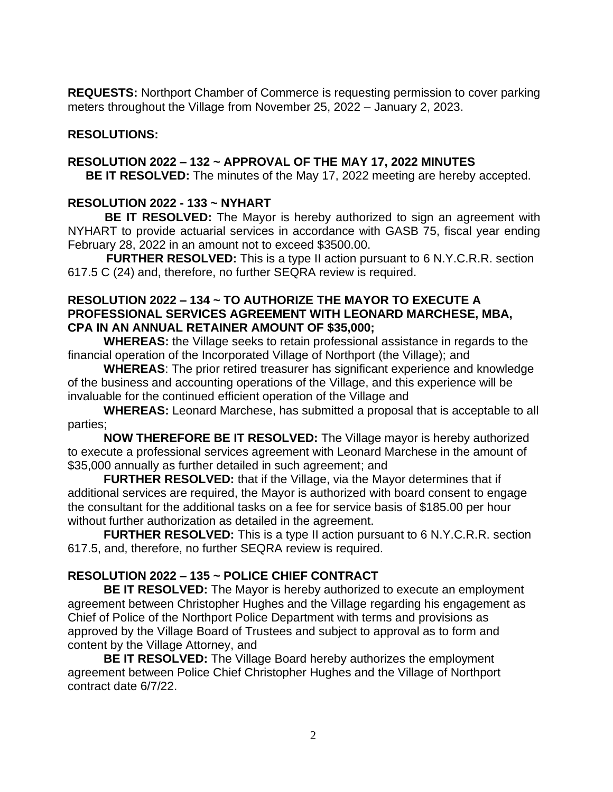**REQUESTS:** Northport Chamber of Commerce is requesting permission to cover parking meters throughout the Village from November 25, 2022 – January 2, 2023.

# **RESOLUTIONS:**

# **RESOLUTION 2022 – 132 ~ APPROVAL OF THE MAY 17, 2022 MINUTES**

**BE IT RESOLVED:** The minutes of the May 17, 2022 meeting are hereby accepted.

# **RESOLUTION 2022 - 133 ~ NYHART**

 **BE IT RESOLVED:** The Mayor is hereby authorized to sign an agreement with NYHART to provide actuarial services in accordance with GASB 75, fiscal year ending February 28, 2022 in an amount not to exceed \$3500.00.

**FURTHER RESOLVED:** This is a type II action pursuant to 6 N.Y.C.R.R. section 617.5 C (24) and, therefore, no further SEQRA review is required.

#### **RESOLUTION 2022 – 134 ~ TO AUTHORIZE THE MAYOR TO EXECUTE A PROFESSIONAL SERVICES AGREEMENT WITH LEONARD MARCHESE, MBA, CPA IN AN ANNUAL RETAINER AMOUNT OF \$35,000;**

**WHEREAS:** the Village seeks to retain professional assistance in regards to the financial operation of the Incorporated Village of Northport (the Village); and

**WHEREAS**: The prior retired treasurer has significant experience and knowledge of the business and accounting operations of the Village, and this experience will be invaluable for the continued efficient operation of the Village and

**WHEREAS:** Leonard Marchese, has submitted a proposal that is acceptable to all parties;

**NOW THEREFORE BE IT RESOLVED:** The Village mayor is hereby authorized to execute a professional services agreement with Leonard Marchese in the amount of \$35,000 annually as further detailed in such agreement; and

**FURTHER RESOLVED:** that if the Village, via the Mayor determines that if additional services are required, the Mayor is authorized with board consent to engage the consultant for the additional tasks on a fee for service basis of \$185.00 per hour without further authorization as detailed in the agreement.

**FURTHER RESOLVED:** This is a type II action pursuant to 6 N.Y.C.R.R. section 617.5, and, therefore, no further SEQRA review is required.

# **RESOLUTION 2022 – 135 ~ POLICE CHIEF CONTRACT**

**BE IT RESOLVED:** The Mayor is hereby authorized to execute an employment agreement between Christopher Hughes and the Village regarding his engagement as Chief of Police of the Northport Police Department with terms and provisions as approved by the Village Board of Trustees and subject to approval as to form and content by the Village Attorney, and

**BE IT RESOLVED:** The Village Board hereby authorizes the employment agreement between Police Chief Christopher Hughes and the Village of Northport contract date 6/7/22.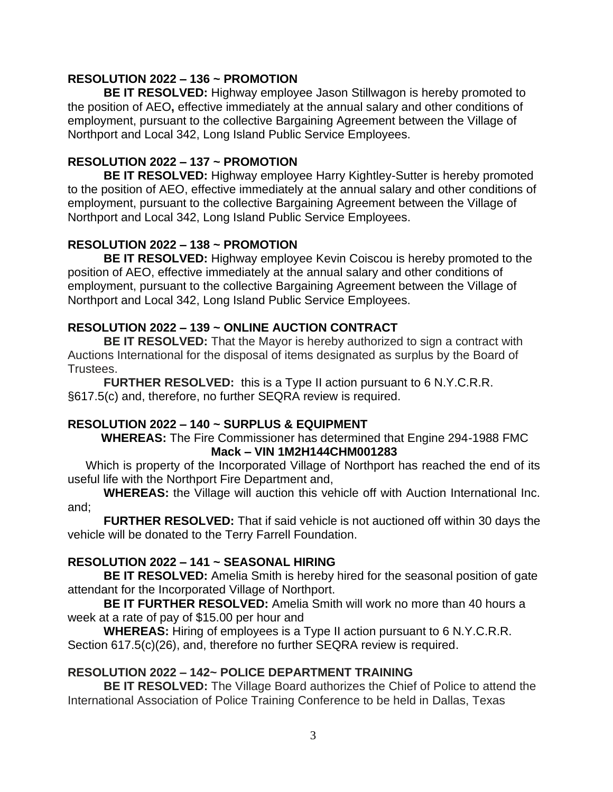### **RESOLUTION 2022 – 136 ~ PROMOTION**

**BE IT RESOLVED:** Highway employee Jason Stillwagon is hereby promoted to the position of AEO**,** effective immediately at the annual salary and other conditions of employment, pursuant to the collective Bargaining Agreement between the Village of Northport and Local 342, Long Island Public Service Employees.

### **RESOLUTION 2022 – 137 ~ PROMOTION**

**BE IT RESOLVED:** Highway employee Harry Kightley-Sutter is hereby promoted to the position of AEO, effective immediately at the annual salary and other conditions of employment, pursuant to the collective Bargaining Agreement between the Village of Northport and Local 342, Long Island Public Service Employees.

# **RESOLUTION 2022 – 138 ~ PROMOTION**

**BE IT RESOLVED:** Highway employee Kevin Coiscou is hereby promoted to the position of AEO, effective immediately at the annual salary and other conditions of employment, pursuant to the collective Bargaining Agreement between the Village of Northport and Local 342, Long Island Public Service Employees.

### **RESOLUTION 2022 – 139 ~ ONLINE AUCTION CONTRACT**

 **BE IT RESOLVED:** That the Mayor is hereby authorized to sign a contract with Auctions International for the disposal of items designated as surplus by the Board of Trustees.

**FURTHER RESOLVED:** this is a Type II action pursuant to 6 N.Y.C.R.R. §617.5(c) and, therefore, no further SEQRA review is required.

#### **RESOLUTION 2022 – 140 ~ SURPLUS & EQUIPMENT**

**WHEREAS:** The Fire Commissioner has determined that Engine 294-1988 FMC **Mack – VIN 1M2H144CHM001283**

Which is property of the Incorporated Village of Northport has reached the end of its useful life with the Northport Fire Department and,

**WHEREAS:** the Village will auction this vehicle off with Auction International Inc. and;

**FURTHER RESOLVED:** That if said vehicle is not auctioned off within 30 days the vehicle will be donated to the Terry Farrell Foundation.

# **RESOLUTION 2022 – 141 ~ SEASONAL HIRING**

**BE IT RESOLVED:** Amelia Smith is hereby hired for the seasonal position of gate attendant for the Incorporated Village of Northport.

**BE IT FURTHER RESOLVED:** Amelia Smith will work no more than 40 hours a week at a rate of pay of \$15.00 per hour and

**WHEREAS:** Hiring of employees is a Type II action pursuant to 6 N.Y.C.R.R. Section 617.5(c)(26), and, therefore no further SEQRA review is required.

# **RESOLUTION 2022 – 142~ POLICE DEPARTMENT TRAINING**

**BE IT RESOLVED:** The Village Board authorizes the Chief of Police to attend the International Association of Police Training Conference to be held in Dallas, Texas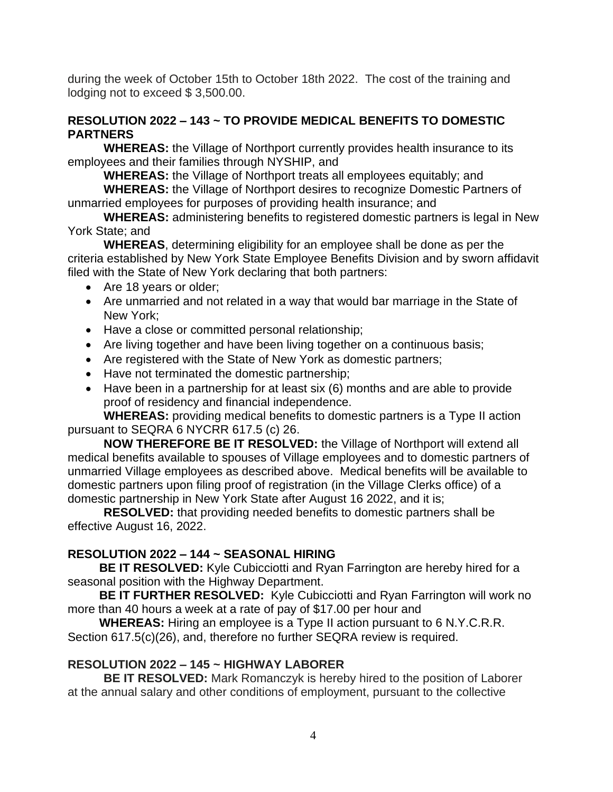during the week of October 15th to October 18th 2022. The cost of the training and lodging not to exceed \$ 3,500.00.

### **RESOLUTION 2022 – 143 ~ TO PROVIDE MEDICAL BENEFITS TO DOMESTIC PARTNERS**

**WHEREAS:** the Village of Northport currently provides health insurance to its employees and their families through NYSHIP, and

**WHEREAS:** the Village of Northport treats all employees equitably; and

**WHEREAS:** the Village of Northport desires to recognize Domestic Partners of unmarried employees for purposes of providing health insurance; and

**WHEREAS:** administering benefits to registered domestic partners is legal in New York State; and

**WHEREAS**, determining eligibility for an employee shall be done as per the criteria established by New York State Employee Benefits Division and by sworn affidavit filed with the State of New York declaring that both partners:

- Are 18 years or older;
- Are unmarried and not related in a way that would bar marriage in the State of New York;
- Have a close or committed personal relationship;
- Are living together and have been living together on a continuous basis;
- Are registered with the State of New York as domestic partners;
- Have not terminated the domestic partnership;
- Have been in a partnership for at least six (6) months and are able to provide proof of residency and financial independence.

**WHEREAS:** providing medical benefits to domestic partners is a Type II action pursuant to SEQRA 6 NYCRR 617.5 (c) 26.

**NOW THEREFORE BE IT RESOLVED:** the Village of Northport will extend all medical benefits available to spouses of Village employees and to domestic partners of unmarried Village employees as described above. Medical benefits will be available to domestic partners upon filing proof of registration (in the Village Clerks office) of a domestic partnership in New York State after August 16 2022, and it is;

**RESOLVED:** that providing needed benefits to domestic partners shall be effective August 16, 2022.

# **RESOLUTION 2022 – 144 ~ SEASONAL HIRING**

**BE IT RESOLVED:** Kyle Cubicciotti and Ryan Farrington are hereby hired for a seasonal position with the Highway Department.

**BE IT FURTHER RESOLVED:** Kyle Cubicciotti and Ryan Farrington will work no more than 40 hours a week at a rate of pay of \$17.00 per hour and

**WHEREAS:** Hiring an employee is a Type II action pursuant to 6 N.Y.C.R.R. Section 617.5(c)(26), and, therefore no further SEQRA review is required.

# **RESOLUTION 2022 – 145 ~ HIGHWAY LABORER**

**BE IT RESOLVED:** Mark Romanczyk is hereby hired to the position of Laborer at the annual salary and other conditions of employment, pursuant to the collective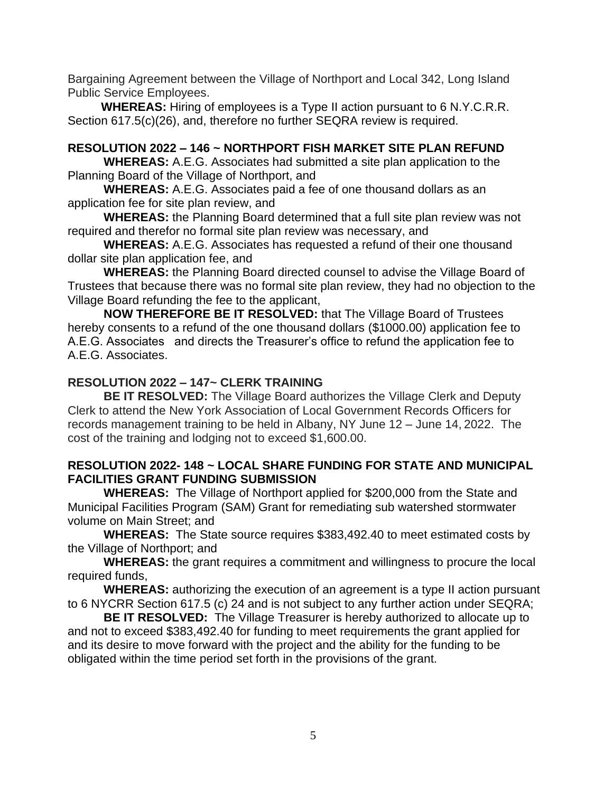Bargaining Agreement between the Village of Northport and Local 342, Long Island Public Service Employees.

 **WHEREAS:** Hiring of employees is a Type II action pursuant to 6 N.Y.C.R.R. Section 617.5(c)(26), and, therefore no further SEQRA review is required.

# **RESOLUTION 2022 – 146 ~ NORTHPORT FISH MARKET SITE PLAN REFUND**

**WHEREAS:** A.E.G. Associates had submitted a site plan application to the Planning Board of the Village of Northport, and

**WHEREAS:** A.E.G. Associates paid a fee of one thousand dollars as an application fee for site plan review, and

**WHEREAS:** the Planning Board determined that a full site plan review was not required and therefor no formal site plan review was necessary, and

**WHEREAS:** A.E.G. Associates has requested a refund of their one thousand dollar site plan application fee, and

**WHEREAS:** the Planning Board directed counsel to advise the Village Board of Trustees that because there was no formal site plan review, they had no objection to the Village Board refunding the fee to the applicant,

**NOW THEREFORE BE IT RESOLVED:** that The Village Board of Trustees hereby consents to a refund of the one thousand dollars (\$1000.00) application fee to A.E.G. Associates and directs the Treasurer's office to refund the application fee to A.E.G. Associates.

### **RESOLUTION 2022 – 147~ CLERK TRAINING**

**BE IT RESOLVED:** The Village Board authorizes the Village Clerk and Deputy Clerk to attend the New York Association of Local Government Records Officers for records management training to be held in Albany, NY June 12 – June 14, 2022. The cost of the training and lodging not to exceed \$1,600.00.

### **RESOLUTION 2022- 148 ~ LOCAL SHARE FUNDING FOR STATE AND MUNICIPAL FACILITIES GRANT FUNDING SUBMISSION**

**WHEREAS:** The Village of Northport applied for \$200,000 from the State and Municipal Facilities Program (SAM) Grant for remediating sub watershed stormwater volume on Main Street; and

**WHEREAS:** The State source requires \$383,492.40 to meet estimated costs by the Village of Northport; and

**WHEREAS:** the grant requires a commitment and willingness to procure the local required funds,

**WHEREAS:** authorizing the execution of an agreement is a type II action pursuant to 6 NYCRR Section 617.5 (c) 24 and is not subject to any further action under SEQRA;

**BE IT RESOLVED:** The Village Treasurer is hereby authorized to allocate up to and not to exceed \$383,492.40 for funding to meet requirements the grant applied for and its desire to move forward with the project and the ability for the funding to be obligated within the time period set forth in the provisions of the grant.